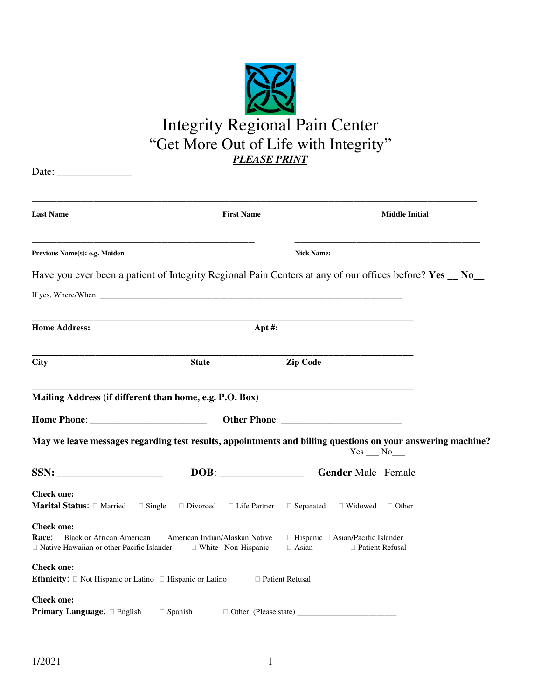

\_\_\_\_\_\_\_\_\_\_\_\_\_\_\_\_\_\_\_\_\_\_\_\_\_\_\_\_\_\_\_\_\_\_\_\_\_\_\_\_\_\_\_\_\_\_\_\_\_\_\_\_\_\_\_\_\_\_\_\_\_\_\_\_\_\_\_\_\_\_\_\_ **Last Name** Middle Initial **First Name First Name Middle Initial Middle Initial** \_\_\_\_\_\_\_\_\_\_\_\_\_\_\_\_\_\_\_\_\_\_\_\_\_\_\_\_\_\_\_\_\_\_\_\_ \_\_\_\_\_\_\_\_\_\_\_\_\_\_\_\_\_\_\_\_\_\_\_\_\_\_\_\_\_\_ Previous Name(s): e.g. Maiden Nick Name: Have you ever been a patient of Integrity Regional Pain Centers at any of our offices before? **Yes \_\_ No\_\_** If yes, Where/When: \_\_\_\_\_\_\_\_\_\_\_\_\_\_\_\_\_\_\_\_\_\_\_\_\_\_\_\_\_\_\_\_\_\_\_\_\_\_\_\_\_\_\_\_\_\_\_\_\_\_\_\_\_\_\_\_\_\_\_\_\_\_\_\_\_\_\_\_\_\_\_\_\_\_\_\_ \_\_\_\_\_\_\_\_\_\_\_\_\_\_\_\_\_\_\_\_\_\_\_\_\_\_\_\_\_\_\_\_\_\_\_\_\_\_\_\_\_\_\_\_\_\_\_\_\_\_\_\_\_\_\_\_\_\_\_\_\_\_\_\_\_\_\_\_\_\_\_\_ **Home Address: Apt #:**  \_\_\_\_\_\_\_\_\_\_\_\_\_\_\_\_\_\_\_\_\_\_\_\_\_\_\_\_\_\_\_\_\_\_\_\_\_\_\_\_\_\_\_\_\_\_\_\_\_\_\_\_\_\_\_\_\_\_\_\_\_\_\_\_\_\_\_\_\_\_\_\_ **City State Zip Code**  \_\_\_\_\_\_\_\_\_\_\_\_\_\_\_\_\_\_\_\_\_\_\_\_\_\_\_\_\_\_\_\_\_\_\_\_\_\_\_\_\_\_\_\_\_\_\_\_\_\_\_\_\_\_\_\_\_\_\_\_\_\_\_\_\_\_\_\_\_\_\_\_ **Mailing Address (if different than home, e.g. P.O. Box) Home Phone**: \_\_\_\_\_\_\_\_\_\_\_\_\_\_\_\_\_\_\_\_\_\_\_\_ **Other Phone**: \_\_\_\_\_\_\_\_\_\_\_\_\_\_\_\_\_\_\_\_\_\_\_\_\_ **May we leave messages regarding test results, appointments and billing questions on your answering machine?**  $Yes$   $No$ **SSN: DOB**: **DOB: Gender** Male Female **Check one: Marital Status:** 
□ Married 
□ Single 
□ Divorced □ Life Partner 
□ Separated □ Widowed □ Other **Check one: Race:** □ Black or African American □ American Indian/Alaskan Native □ Hispanic □ Asian/Pacific Islander □ Native Hawaiian or other Pacific Islander □ White --Non-Hispanic □ Asian □ Patient Refusal  $\Box$  Native Hawaiian or other Pacific Islander **Check one: Ethnicity:** □ Not Hispanic or Latino □ Hispanic or Latino □ Patient Refusal **Check one: Primary Language:**  $\Box$  English  $\Box$  Spanish  $\Box$  Other: (Please state)  $\Box$ 

Date: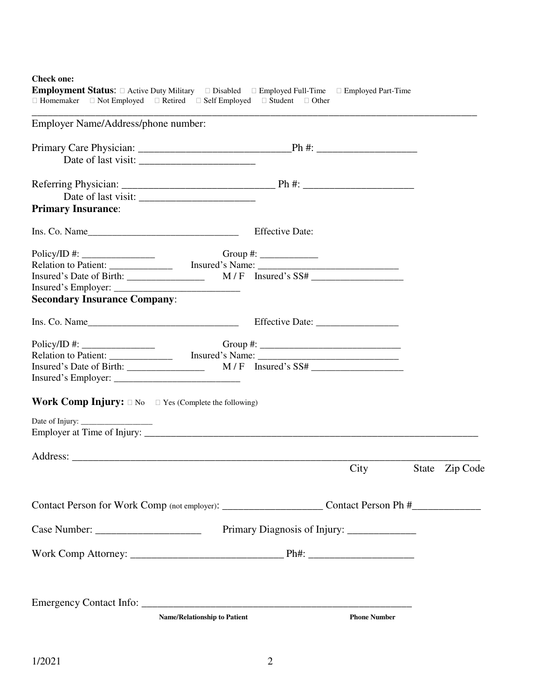**Check one: Employment Status**: Active Duty Military Disabled Employed Full-Time Employed Part-Time  $\Box$  Homemaker  $\Box$  Not Employed  $\Box$  Retired  $\Box$  Self Employed  $\Box$  Student  $\Box$  Other \_\_\_\_\_\_\_\_\_\_\_\_\_\_\_\_\_\_\_\_\_\_\_\_\_\_\_\_\_\_\_\_\_\_\_\_\_\_\_\_\_\_\_\_\_\_\_\_\_\_\_\_\_\_\_\_\_\_\_\_\_\_\_\_\_\_\_\_\_\_\_\_\_\_\_\_\_\_\_\_\_\_\_\_ Employer Name/Address/phone number: Primary Care Physician: \_\_\_\_\_\_\_\_\_\_\_\_\_\_\_\_\_\_\_\_\_\_\_\_\_\_\_\_\_Ph #: \_\_\_\_\_\_\_\_\_\_\_\_\_\_\_\_\_\_\_ Date of last visit: Referring Physician: \_\_\_\_\_\_\_\_\_\_\_\_\_\_\_\_\_\_\_\_\_\_\_\_\_\_\_\_\_ Ph #: \_\_\_\_\_\_\_\_\_\_\_\_\_\_\_\_\_\_\_\_\_ Date of last visit: \_\_\_\_\_\_\_\_\_\_\_\_\_\_\_\_\_\_\_\_\_\_ **Primary Insurance**: Ins. Co. Name\_\_\_\_\_\_\_\_\_\_\_\_\_\_\_\_\_\_\_\_\_\_\_\_\_\_\_\_\_\_\_ Effective Date:  $Policy/ID \#: \_$ Relation to Patient: \_\_\_\_\_\_\_\_\_\_\_\_\_ Insured's Name: \_\_\_\_\_\_\_\_\_\_\_\_\_\_\_\_\_\_\_\_\_\_\_\_\_\_\_\_\_ Insured's Date of Birth: \_\_\_\_\_\_\_\_\_\_\_\_\_\_\_\_\_\_ M / F Insured's SS# \_\_\_\_\_\_\_\_\_\_\_\_\_\_\_\_ Insured's Employer: **Secondary Insurance Company**: Ins. Co. Name **Effective Date:**  $\blacksquare$ Policy/ID #: \_\_\_\_\_\_\_\_\_\_\_\_\_\_\_ Group #: \_\_\_\_\_\_\_\_\_\_\_\_\_\_\_\_\_\_\_\_\_\_\_\_\_\_\_\_\_ Relation to Patient: \_\_\_\_\_\_\_\_\_\_\_\_\_ Insured's Name: \_\_\_\_\_\_\_\_\_\_\_\_\_\_\_\_\_\_\_\_\_\_\_\_\_\_\_\_\_ Insured's Date of Birth: \_\_\_\_\_\_\_\_\_\_\_\_\_\_\_\_ M / F Insured's SS# \_\_\_\_\_\_\_\_\_\_\_\_\_\_\_\_\_\_\_ Insured's Employer: **Work Comp Injury:**  $\Box$  No  $\Box$  Yes (Complete the following) Date of Injury: \_ Employer at Time of Injury: \_\_\_\_\_\_\_\_\_\_\_\_\_\_\_\_\_\_\_\_\_\_\_\_\_\_\_\_\_\_\_\_\_\_\_\_\_\_\_\_\_\_\_\_\_\_\_\_\_\_\_\_\_\_\_\_\_\_\_\_\_\_\_ Address: \_\_\_\_\_\_\_\_\_\_\_\_\_\_\_\_\_\_\_\_\_\_\_\_\_\_\_\_\_\_\_\_\_\_\_\_\_\_\_\_\_\_\_\_\_\_\_\_\_\_\_\_\_\_\_\_\_\_\_\_\_\_\_\_\_\_\_\_\_\_\_\_\_\_\_\_\_ City State Zip Code Contact Person for Work Comp (not employer): \_\_\_\_\_\_\_\_\_\_\_\_\_\_\_\_\_\_\_ Contact Person Ph #\_\_\_\_\_\_\_\_\_\_\_\_\_ Case Number: \_\_\_\_\_\_\_\_\_\_\_\_\_\_\_\_\_\_\_\_ Primary Diagnosis of Injury: \_\_\_\_\_\_\_\_\_\_\_\_\_ Work Comp Attorney:  $\Box$  Ph#: Emergency Contact Info: **Name/Relationship to Patient Phone Number Phone Number**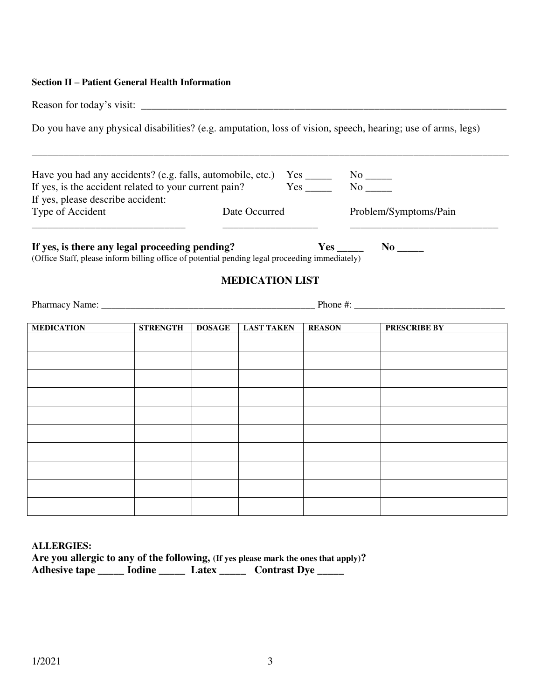#### **Section II – Patient General Health Information**

Reason for today's visit: \_\_\_\_\_\_\_\_\_\_\_\_\_\_\_\_\_\_\_\_\_\_\_\_\_\_\_\_\_\_\_\_\_\_\_\_\_\_\_\_\_\_\_\_\_\_\_\_\_\_\_\_\_\_\_\_\_\_\_\_\_\_\_\_\_\_\_\_\_

Do you have any physical disabilities? (e.g. amputation, loss of vision, speech, hearing; use of arms, legs)

| If yes, please describe accident:<br>Type of Accident                                                                                            |                 | Date Occurred |                        | Problem/Symptoms/Pain |                     |
|--------------------------------------------------------------------------------------------------------------------------------------------------|-----------------|---------------|------------------------|-----------------------|---------------------|
| If yes, is there any legal proceeding pending?<br>(Office Staff, please inform billing office of potential pending legal proceeding immediately) |                 |               | <b>MEDICATION LIST</b> |                       |                     |
|                                                                                                                                                  |                 |               |                        |                       |                     |
| <b>MEDICATION</b>                                                                                                                                | <b>STRENGTH</b> | <b>DOSAGE</b> | <b>LAST TAKEN</b>      | <b>REASON</b>         | <b>PRESCRIBE BY</b> |
|                                                                                                                                                  |                 |               |                        |                       |                     |
|                                                                                                                                                  |                 |               |                        |                       |                     |
|                                                                                                                                                  |                 |               |                        |                       |                     |
|                                                                                                                                                  |                 |               |                        |                       |                     |
|                                                                                                                                                  |                 |               |                        |                       |                     |
|                                                                                                                                                  |                 |               |                        |                       |                     |
|                                                                                                                                                  |                 |               |                        |                       |                     |
|                                                                                                                                                  |                 |               |                        |                       |                     |
|                                                                                                                                                  |                 |               |                        |                       |                     |
|                                                                                                                                                  |                 |               |                        |                       |                     |
|                                                                                                                                                  |                 |               |                        |                       |                     |
|                                                                                                                                                  |                 |               |                        |                       |                     |

**ALLERGIES: Are you allergic to any of the following, (If yes please mark the ones that apply)? Adhesive tape \_\_\_\_\_ Iodine \_\_\_\_\_ Latex \_\_\_\_\_ Contrast Dye \_\_\_\_\_**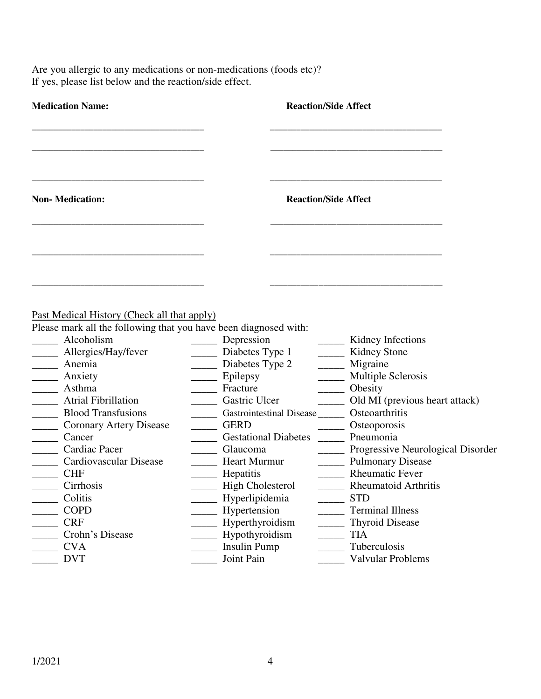Are you allergic to any medications or non-medications (foods etc)? If yes, please list below and the reaction/side effect.

| <b>Medication Name:</b>                                                                                                                                                                                                                                                                                                                                                                                                               |                                                                                                                                                                                                                                                                                                                                                                                               | <b>Reaction/Side Affect</b>                                                                                                                                                                                                                                                                                                                                                                                                                                                                                                                             |
|---------------------------------------------------------------------------------------------------------------------------------------------------------------------------------------------------------------------------------------------------------------------------------------------------------------------------------------------------------------------------------------------------------------------------------------|-----------------------------------------------------------------------------------------------------------------------------------------------------------------------------------------------------------------------------------------------------------------------------------------------------------------------------------------------------------------------------------------------|---------------------------------------------------------------------------------------------------------------------------------------------------------------------------------------------------------------------------------------------------------------------------------------------------------------------------------------------------------------------------------------------------------------------------------------------------------------------------------------------------------------------------------------------------------|
| <b>Non-Medication:</b>                                                                                                                                                                                                                                                                                                                                                                                                                |                                                                                                                                                                                                                                                                                                                                                                                               | <b>Reaction/Side Affect</b>                                                                                                                                                                                                                                                                                                                                                                                                                                                                                                                             |
| <u>Past Medical History (Check all that apply)</u><br>Please mark all the following that you have been diagnosed with:<br>Alcoholism<br>Allergies/Hay/fever<br>______ Anemia<br>Anxiety<br>_____ Asthma<br><b>Atrial Fibrillation</b><br><b>Blood Transfusions</b><br>Coronary Artery Disease<br>$\qquad$ Cancer<br>Cardiac Pacer<br><b>Cardiovascular Disease</b><br><b>CHF</b><br>Cirrhosis<br>Colitis<br><b>COPD</b><br><b>CRF</b> | ________ Depression<br>$\frac{1}{2}$ Diabetes Type 1<br>Diabetes Type 2<br><u>__</u> Epilepsy<br>Fracture<br>Gastric Ulcer<br>$\overline{\phantom{a}}$<br>Gastrointestinal Disease<br>$\mathcal{L}^{\text{max}}_{\text{max}}$<br>GERD<br><b>Gestational Diabetes</b><br>Glaucoma<br>Heart Murmur<br>Hepatitis<br><b>High Cholesterol</b><br>Hyperlipidemia<br>Hypertension<br>Hyperthyroidism | <u>Lessen Kidney</u> Infections<br>_______ Kidney Stone<br>_____ Migraine<br><b>Multiple Sclerosis</b><br>$\overline{\phantom{a}}$<br>______ Obesity<br>Old MI (previous heart attack)<br>$\frac{1}{2}$<br>Osteoarthritis<br>Osteoporosis<br>$\sim$ 100 $\mu$<br>________ Pneumonia<br>Progressive Neurological Disorder<br>$\overline{\phantom{a}}$<br><b>EXAMPLE PULLE PULLE PULLE PULLE PULLE PULLE PULLE PULLE PUIL</b><br><b>Rheumatic Fever</b><br><b>Rheumatoid Arthritis</b><br><b>STD</b><br><b>Terminal Illness</b><br><b>Thyroid Disease</b> |
| Crohn's Disease<br><b>CVA</b><br><b>DVT</b>                                                                                                                                                                                                                                                                                                                                                                                           | Hypothyroidism<br><b>Insulin Pump</b><br>Joint Pain                                                                                                                                                                                                                                                                                                                                           | <b>TIA</b><br>Tuberculosis<br>Valvular Problems                                                                                                                                                                                                                                                                                                                                                                                                                                                                                                         |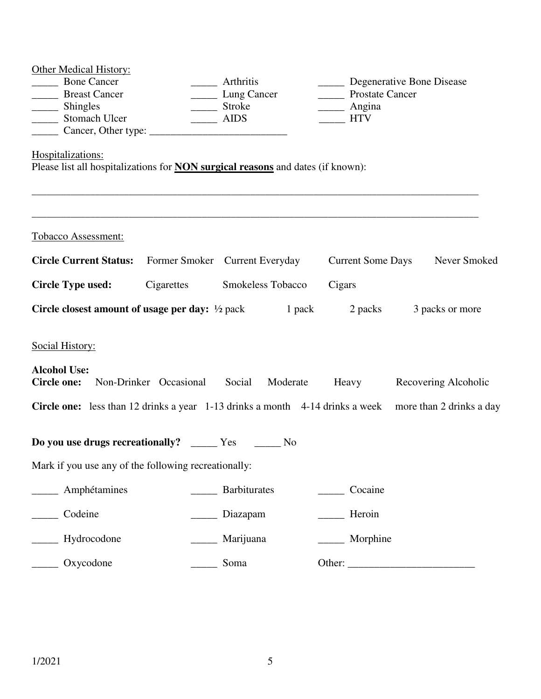| <b>Other Medical History:</b>                                                                               |                        |                                |                          |                           |
|-------------------------------------------------------------------------------------------------------------|------------------------|--------------------------------|--------------------------|---------------------------|
| <b>Bone Cancer</b>                                                                                          |                        | Arthritis                      |                          | Degenerative Bone Disease |
| __ Breast Cancer                                                                                            |                        | Lung Cancer                    | <b>Prostate Cancer</b>   |                           |
| _____ Shingles                                                                                              |                        | ______ Stroke                  | Angina                   |                           |
| _______ Stomach Ulcer                                                                                       |                        | <b>AIDS</b>                    | <b>HTV</b>               |                           |
|                                                                                                             |                        |                                |                          |                           |
| Hospitalizations:<br>Please list all hospitalizations for <b>NON</b> surgical reasons and dates (if known): |                        |                                |                          |                           |
|                                                                                                             |                        |                                |                          |                           |
| <b>Tobacco Assessment:</b>                                                                                  |                        |                                |                          |                           |
| <b>Circle Current Status:</b>                                                                               |                        | Former Smoker Current Everyday | <b>Current Some Days</b> | Never Smoked              |
| <b>Circle Type used:</b>                                                                                    | Cigarettes             | <b>Smokeless Tobacco</b>       | Cigars                   |                           |
| Circle closest amount of usage per day: $\frac{1}{2}$ pack                                                  |                        | 1 pack                         | 2 packs                  | 3 packs or more           |
| Social History:                                                                                             |                        |                                |                          |                           |
| <b>Alcohol Use:</b><br><b>Circle one:</b>                                                                   | Non-Drinker Occasional | Moderate<br>Social             | Heavy                    | Recovering Alcoholic      |
| <b>Circle one:</b> less than 12 drinks a year $1-13$ drinks a month $4-14$ drinks a week                    |                        |                                |                          | more than 2 drinks a day  |
| Do you use drugs recreationally? ________ Yes                                                               |                        | N <sub>0</sub>                 |                          |                           |
| Mark if you use any of the following recreationally:                                                        |                        |                                |                          |                           |
| Amphétamines                                                                                                |                        | <b>Barbiturates</b>            | Cocaine                  |                           |
| Codeine                                                                                                     |                        | Diazapam                       | Heroin                   |                           |
| Hydrocodone                                                                                                 |                        | Marijuana                      | Morphine                 |                           |
| Oxycodone                                                                                                   |                        | Soma                           |                          | Other:                    |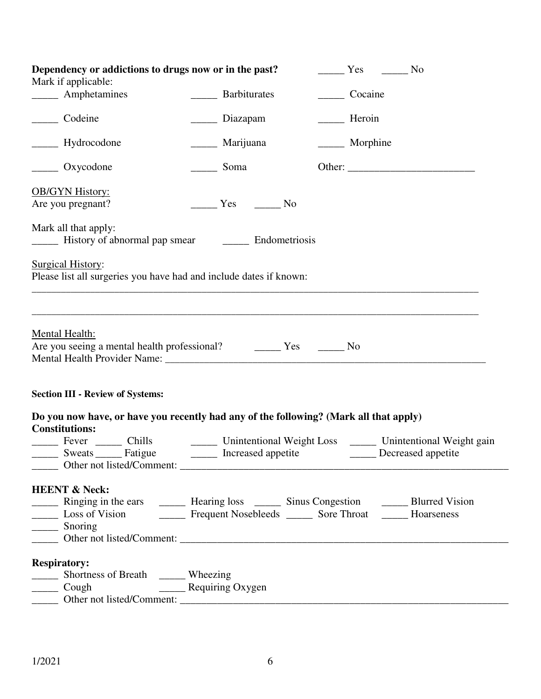| Dependency or addictions to drugs now or in the past?                                                                                                                                                                                                                                                                                                                                                                           |                                                                                                                                                                                                                                                                                                                                                                                                                                   | $\frac{1}{\sqrt{1-\frac{1}{\sqrt{1-\frac{1}{\sqrt{1-\frac{1}{\sqrt{1-\frac{1}{\sqrt{1-\frac{1}{\sqrt{1-\frac{1}{\sqrt{1-\frac{1}{\sqrt{1-\frac{1}{\sqrt{1-\frac{1}{\sqrt{1-\frac{1}{\sqrt{1-\frac{1}{\sqrt{1-\frac{1}{\sqrt{1-\frac{1}{\sqrt{1-\frac{1}{\sqrt{1-\frac{1}{\sqrt{1-\frac{1}{\sqrt{1-\frac{1}{\sqrt{1-\frac{1}{\sqrt{1-\frac{1}{\sqrt{1-\frac{1}{\sqrt{1-\frac{1}{\sqrt{1-\frac{1}{\sqrt{1-\frac{1}{\sqrt{1-\frac{1$ |  |
|---------------------------------------------------------------------------------------------------------------------------------------------------------------------------------------------------------------------------------------------------------------------------------------------------------------------------------------------------------------------------------------------------------------------------------|-----------------------------------------------------------------------------------------------------------------------------------------------------------------------------------------------------------------------------------------------------------------------------------------------------------------------------------------------------------------------------------------------------------------------------------|-----------------------------------------------------------------------------------------------------------------------------------------------------------------------------------------------------------------------------------------------------------------------------------------------------------------------------------------------------------------------------------------------------------------------------------|--|
| Mark if applicable:<br><b>Example:</b> Amphetamines                                                                                                                                                                                                                                                                                                                                                                             | Barbiturates                                                                                                                                                                                                                                                                                                                                                                                                                      | Cocaine                                                                                                                                                                                                                                                                                                                                                                                                                           |  |
| _______ Codeine                                                                                                                                                                                                                                                                                                                                                                                                                 | Diazapam                                                                                                                                                                                                                                                                                                                                                                                                                          |                                                                                                                                                                                                                                                                                                                                                                                                                                   |  |
| - Hydrocodone                                                                                                                                                                                                                                                                                                                                                                                                                   | ______ Marijuana                                                                                                                                                                                                                                                                                                                                                                                                                  | _______ Morphine                                                                                                                                                                                                                                                                                                                                                                                                                  |  |
| $\frac{1}{\sqrt{1-\frac{1}{2}}}\frac{0}{\sqrt{1-\frac{1}{2}}}\frac{0}{\sqrt{1-\frac{1}{2}}}\frac{0}{\sqrt{1-\frac{1}{2}}}\frac{0}{\sqrt{1-\frac{1}{2}}}\frac{0}{\sqrt{1-\frac{1}{2}}}\frac{0}{\sqrt{1-\frac{1}{2}}}\frac{0}{\sqrt{1-\frac{1}{2}}}\frac{0}{\sqrt{1-\frac{1}{2}}}\frac{0}{\sqrt{1-\frac{1}{2}}}\frac{0}{\sqrt{1-\frac{1}{2}}}\frac{0}{\sqrt{1-\frac{1}{2}}}\frac{0}{\sqrt{1-\frac{1}{2}}}\frac{0}{\sqrt{1-\frac{$ | Soma                                                                                                                                                                                                                                                                                                                                                                                                                              |                                                                                                                                                                                                                                                                                                                                                                                                                                   |  |
| <b>OB/GYN History:</b><br>Are you pregnant?                                                                                                                                                                                                                                                                                                                                                                                     | $\frac{1}{\sqrt{1-\frac{1}{\sqrt{1-\frac{1}{\sqrt{1-\frac{1}{\sqrt{1-\frac{1}{\sqrt{1-\frac{1}{\sqrt{1-\frac{1}{\sqrt{1-\frac{1}{\sqrt{1-\frac{1}{\sqrt{1-\frac{1}{\sqrt{1-\frac{1}{\sqrt{1-\frac{1}{\sqrt{1-\frac{1}{\sqrt{1-\frac{1}{\sqrt{1-\frac{1}{\sqrt{1-\frac{1}{\sqrt{1-\frac{1}{\sqrt{1-\frac{1}{\sqrt{1-\frac{1}{\sqrt{1-\frac{1}{\sqrt{1-\frac{1}{\sqrt{1-\frac{1}{\sqrt{1-\frac{1}{\sqrt{1-\frac{1}{\sqrt{1-\frac{1$ |                                                                                                                                                                                                                                                                                                                                                                                                                                   |  |
| Mark all that apply:<br>________ History of abnormal pap smear ____________ Endometriosis                                                                                                                                                                                                                                                                                                                                       |                                                                                                                                                                                                                                                                                                                                                                                                                                   |                                                                                                                                                                                                                                                                                                                                                                                                                                   |  |
| <b>Surgical History:</b><br>Please list all surgeries you have had and include dates if known:                                                                                                                                                                                                                                                                                                                                  |                                                                                                                                                                                                                                                                                                                                                                                                                                   |                                                                                                                                                                                                                                                                                                                                                                                                                                   |  |
| Mental Health:<br>Are you seeing a mental health professional? The Mess Test Communist Manuscript No<br><b>Section III - Review of Systems:</b>                                                                                                                                                                                                                                                                                 |                                                                                                                                                                                                                                                                                                                                                                                                                                   |                                                                                                                                                                                                                                                                                                                                                                                                                                   |  |
| Do you now have, or have you recently had any of the following? (Mark all that apply)                                                                                                                                                                                                                                                                                                                                           |                                                                                                                                                                                                                                                                                                                                                                                                                                   |                                                                                                                                                                                                                                                                                                                                                                                                                                   |  |
| <b>Constitutions:</b><br>________ Fever ________ Chills<br>________ Sweats ________ Fatigue                                                                                                                                                                                                                                                                                                                                     | Increased appetite                                                                                                                                                                                                                                                                                                                                                                                                                | Unintentional Weight Loss _______ Unintentional Weight gain<br>Decreased appetite                                                                                                                                                                                                                                                                                                                                                 |  |
| <b>HEENT &amp; Neck:</b><br>_______ Snoring                                                                                                                                                                                                                                                                                                                                                                                     |                                                                                                                                                                                                                                                                                                                                                                                                                                   | <b>EXAMPLE 19 All EXAMPLE 2018</b> Rinus Consection <b>CONSECT 2018</b> Relation <b>CONSECT 2018</b> Rinus Consection <b>CONSECT 2019</b> Rinus Rinus Rinus Rinus Rinus Rinus Rinus Rinus Rinus Rinus Rinus Rinus Rinus Rinus Rinus Rinus Rinus Ri                                                                                                                                                                                |  |
| <b>Respiratory:</b><br>Shortness of Breath ________ Wheezing<br>Cough                                                                                                                                                                                                                                                                                                                                                           | _________ Requiring Oxygen                                                                                                                                                                                                                                                                                                                                                                                                        |                                                                                                                                                                                                                                                                                                                                                                                                                                   |  |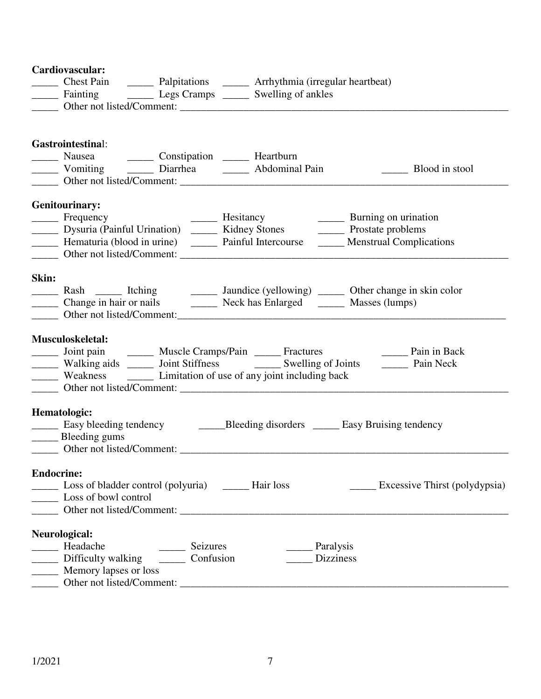| Cardiovascular:       |                                                           |                                                                                                                                          |                                                                                        |
|-----------------------|-----------------------------------------------------------|------------------------------------------------------------------------------------------------------------------------------------------|----------------------------------------------------------------------------------------|
|                       |                                                           | _______ Chest Pain __________ Palpitations ________ Arrhythmia (irregular heartbeat)                                                     |                                                                                        |
|                       |                                                           | Fainting Legs Cramps _______ Swelling of ankles                                                                                          |                                                                                        |
|                       |                                                           |                                                                                                                                          |                                                                                        |
| Gastrointestinal:     |                                                           |                                                                                                                                          |                                                                                        |
| Nausea                |                                                           |                                                                                                                                          |                                                                                        |
|                       |                                                           | _______ Vomiting _________ Diarrhea _________ Abdominal Pain                                                                             | Blood in stool                                                                         |
|                       |                                                           |                                                                                                                                          |                                                                                        |
| <b>Genitourinary:</b> |                                                           |                                                                                                                                          |                                                                                        |
| _______ Frequency     |                                                           |                                                                                                                                          |                                                                                        |
|                       | ______ Dysuria (Painful Urination) ______ Kidney Stones   |                                                                                                                                          | Prostate problems                                                                      |
|                       |                                                           |                                                                                                                                          | Hematuria (blood in urine) _______ Painful Intercourse _______ Menstrual Complications |
| Skin:                 |                                                           |                                                                                                                                          |                                                                                        |
|                       |                                                           |                                                                                                                                          | Rash _______ Itching Jaundice (yellowing) ________ Other change in skin color          |
|                       |                                                           |                                                                                                                                          |                                                                                        |
|                       |                                                           | Other not listed/Comment:                                                                                                                |                                                                                        |
| Musculoskeletal:      | Joint pain _________ Muscle Cramps/Pain _______ Fractures | Walking aids _______ Joint Stiffness __________ Swelling of Joints<br>Weakness <u>____</u> Limitation of use of any joint including back | Pain in Back<br><u>__</u> Pain Neck                                                    |
| Hematologic:          |                                                           |                                                                                                                                          |                                                                                        |
| Bleeding gums         |                                                           | <b>Easy bleeding tendency Easy Bruising tendency Easy Bruising tendency</b>                                                              |                                                                                        |
| <b>Endocrine:</b>     |                                                           |                                                                                                                                          |                                                                                        |
|                       |                                                           |                                                                                                                                          | <b>Excessive Thirst (polydypsia)</b>                                                   |
| Loss of bowl control  |                                                           |                                                                                                                                          |                                                                                        |
|                       |                                                           | Other not listed/Comment:                                                                                                                |                                                                                        |
| Neurological:         |                                                           |                                                                                                                                          |                                                                                        |
| Headache              | __ Seizures                                               | <u>__</u> Paralysis                                                                                                                      |                                                                                        |
| Difficulty walking    | Confusion                                                 |                                                                                                                                          | <b>Dizziness</b>                                                                       |
|                       | Memory lapses or loss                                     |                                                                                                                                          |                                                                                        |
|                       |                                                           |                                                                                                                                          |                                                                                        |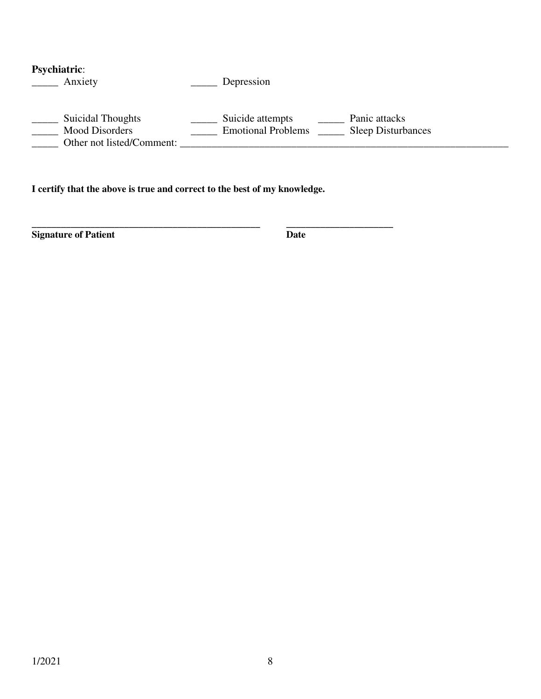**Psychiatric:**<br><u>Anxiety</u> \_\_\_\_\_\_\_ Depression

\_\_\_\_\_ Suicidal Thoughts \_\_\_\_\_ Suicide attempts \_\_\_\_\_ Panic attacks \_\_\_\_\_ Mood Disorders \_\_\_\_\_ Emotional Problems \_\_\_\_\_ Sleep Disturbances \_\_\_\_\_ Other not listed/Comment: \_\_\_\_\_\_\_\_\_\_\_\_\_\_\_\_\_\_\_\_\_\_\_\_\_\_\_\_\_\_\_\_\_\_\_\_\_\_\_\_\_\_\_\_\_\_\_\_\_\_\_\_\_\_\_\_\_\_\_\_\_\_

**I certify that the above is true and correct to the best of my knowledge.** 

**Signature of Patient Date Contract Contract Date Date** 

**\_\_\_\_\_\_\_\_\_\_\_\_\_\_\_\_\_\_\_\_\_\_\_\_\_\_\_\_\_\_\_\_\_\_\_\_\_\_\_\_\_\_\_\_\_\_\_ \_\_\_\_\_\_\_\_\_\_\_\_\_\_\_\_\_\_\_\_\_\_**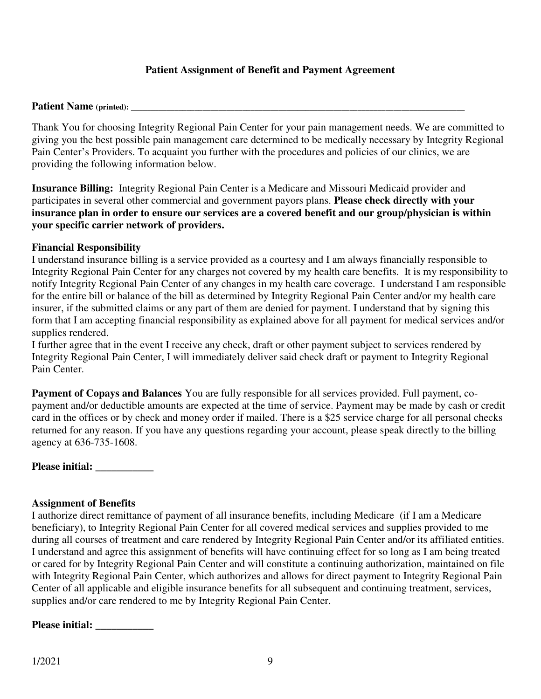#### **Patient Assignment of Benefit and Payment Agreement**

#### **Patient Name (printed): \_\_\_\_\_\_\_\_\_\_\_\_\_\_\_\_\_\_\_\_\_\_\_\_\_\_\_\_\_\_\_\_\_\_\_\_\_\_\_\_\_\_\_\_\_\_\_\_\_\_\_\_\_\_\_\_\_\_\_\_\_\_\_\_\_\_\_\_\_\_\_\_\_\_\_\_\_\_\_\_\_\_\_\_**

Thank You for choosing Integrity Regional Pain Center for your pain management needs. We are committed to giving you the best possible pain management care determined to be medically necessary by Integrity Regional Pain Center's Providers. To acquaint you further with the procedures and policies of our clinics, we are providing the following information below.

**Insurance Billing:** Integrity Regional Pain Center is a Medicare and Missouri Medicaid provider and participates in several other commercial and government payors plans. **Please check directly with your insurance plan in order to ensure our services are a covered benefit and our group/physician is within your specific carrier network of providers.** 

#### **Financial Responsibility**

I understand insurance billing is a service provided as a courtesy and I am always financially responsible to Integrity Regional Pain Center for any charges not covered by my health care benefits. It is my responsibility to notify Integrity Regional Pain Center of any changes in my health care coverage. I understand I am responsible for the entire bill or balance of the bill as determined by Integrity Regional Pain Center and/or my health care insurer, if the submitted claims or any part of them are denied for payment. I understand that by signing this form that I am accepting financial responsibility as explained above for all payment for medical services and/or supplies rendered.

I further agree that in the event I receive any check, draft or other payment subject to services rendered by Integrity Regional Pain Center, I will immediately deliver said check draft or payment to Integrity Regional Pain Center.

**Payment of Copays and Balances** You are fully responsible for all services provided. Full payment, copayment and/or deductible amounts are expected at the time of service. Payment may be made by cash or credit card in the offices or by check and money order if mailed. There is a \$25 service charge for all personal checks returned for any reason. If you have any questions regarding your account, please speak directly to the billing agency at 636-735-1608.

**Please initial: \_\_\_\_\_\_\_\_\_\_\_** 

#### **Assignment of Benefits**

I authorize direct remittance of payment of all insurance benefits, including Medicare (if I am a Medicare beneficiary), to Integrity Regional Pain Center for all covered medical services and supplies provided to me during all courses of treatment and care rendered by Integrity Regional Pain Center and/or its affiliated entities. I understand and agree this assignment of benefits will have continuing effect for so long as I am being treated or cared for by Integrity Regional Pain Center and will constitute a continuing authorization, maintained on file with Integrity Regional Pain Center, which authorizes and allows for direct payment to Integrity Regional Pain Center of all applicable and eligible insurance benefits for all subsequent and continuing treatment, services, supplies and/or care rendered to me by Integrity Regional Pain Center.

**Please initial: \_\_\_\_\_\_\_\_\_\_\_**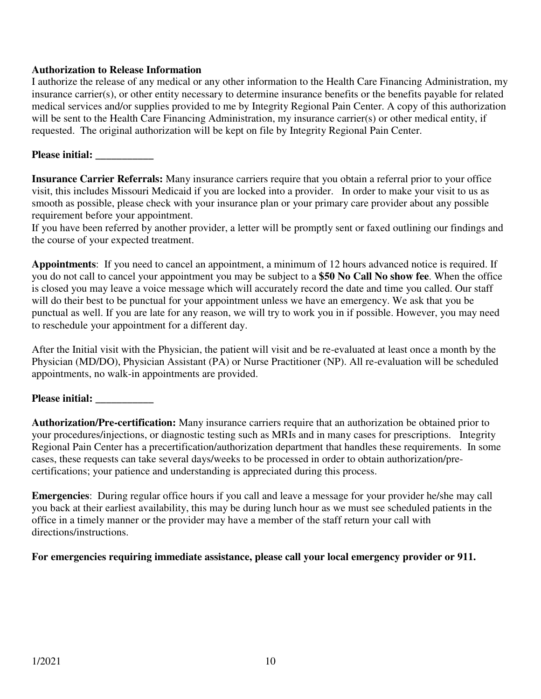#### **Authorization to Release Information**

I authorize the release of any medical or any other information to the Health Care Financing Administration, my insurance carrier(s), or other entity necessary to determine insurance benefits or the benefits payable for related medical services and/or supplies provided to me by Integrity Regional Pain Center. A copy of this authorization will be sent to the Health Care Financing Administration, my insurance carrier(s) or other medical entity, if requested. The original authorization will be kept on file by Integrity Regional Pain Center.

#### **Please initial: \_\_\_\_\_\_\_\_\_\_\_**

**Insurance Carrier Referrals:** Many insurance carriers require that you obtain a referral prior to your office visit, this includes Missouri Medicaid if you are locked into a provider. In order to make your visit to us as smooth as possible, please check with your insurance plan or your primary care provider about any possible requirement before your appointment.

If you have been referred by another provider, a letter will be promptly sent or faxed outlining our findings and the course of your expected treatment.

**Appointments**: If you need to cancel an appointment, a minimum of 12 hours advanced notice is required. If you do not call to cancel your appointment you may be subject to a **\$50 No Call No show fee**. When the office is closed you may leave a voice message which will accurately record the date and time you called. Our staff will do their best to be punctual for your appointment unless we have an emergency. We ask that you be punctual as well. If you are late for any reason, we will try to work you in if possible. However, you may need to reschedule your appointment for a different day.

After the Initial visit with the Physician, the patient will visit and be re-evaluated at least once a month by the Physician (MD/DO), Physician Assistant (PA) or Nurse Practitioner (NP). All re-evaluation will be scheduled appointments, no walk-in appointments are provided.

### **Please initial: \_\_\_\_\_\_\_\_\_\_\_**

**Authorization/Pre-certification:** Many insurance carriers require that an authorization be obtained prior to your procedures/injections, or diagnostic testing such as MRIs and in many cases for prescriptions. Integrity Regional Pain Center has a precertification/authorization department that handles these requirements. In some cases, these requests can take several days/weeks to be processed in order to obtain authorization/precertifications; your patience and understanding is appreciated during this process.

**Emergencies**: During regular office hours if you call and leave a message for your provider he/she may call you back at their earliest availability, this may be during lunch hour as we must see scheduled patients in the office in a timely manner or the provider may have a member of the staff return your call with directions/instructions.

**For emergencies requiring immediate assistance, please call your local emergency provider or 911.**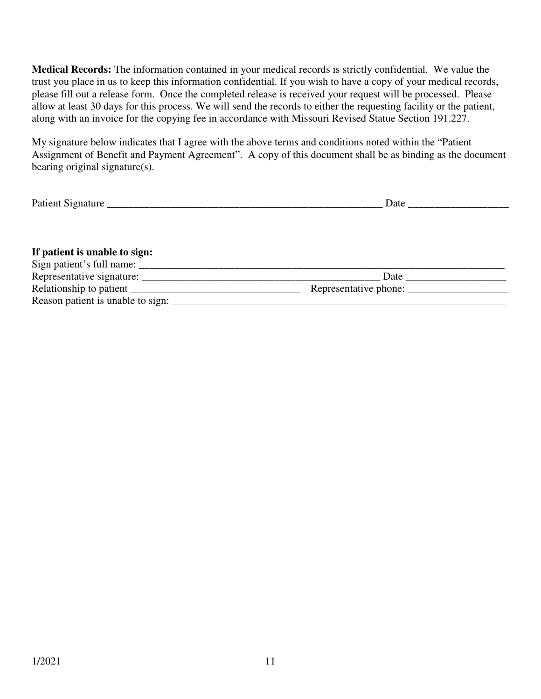**Medical Records:** The information contained in your medical records is strictly confidential. We value the trust you place in us to keep this information confidential. If you wish to have a copy of your medical records, please fill out a release form. Once the completed release is received your request will be processed. Please allow at least 30 days for this process. We will send the records to either the requesting facility or the patient, along with an invoice for the copying fee in accordance with Missouri Revised Statue Section 191.227.

My signature below indicates that I agree with the above terms and conditions noted within the "Patient Assignment of Benefit and Payment Agreement". A copy of this document shall be as binding as the document bearing original signature(s).

|                                   | Date and the same state of the state of the state of the state of the state of the state of the state of the state of the state of the state of the state of the state of the state of the state of the state of the state of |  |
|-----------------------------------|-------------------------------------------------------------------------------------------------------------------------------------------------------------------------------------------------------------------------------|--|
|                                   |                                                                                                                                                                                                                               |  |
|                                   |                                                                                                                                                                                                                               |  |
| If patient is unable to sign:     |                                                                                                                                                                                                                               |  |
|                                   |                                                                                                                                                                                                                               |  |
|                                   |                                                                                                                                                                                                                               |  |
|                                   |                                                                                                                                                                                                                               |  |
| Reason patient is unable to sign: |                                                                                                                                                                                                                               |  |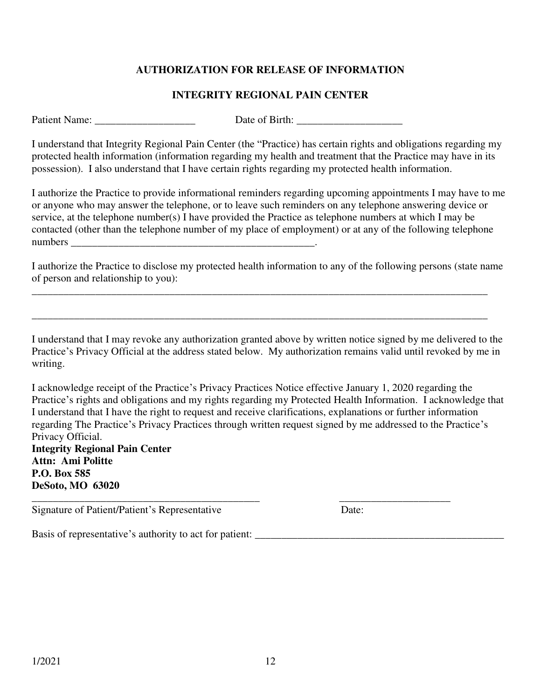#### **AUTHORIZATION FOR RELEASE OF INFORMATION**

#### **INTEGRITY REGIONAL PAIN CENTER**

Patient Name: \_\_\_\_\_\_\_\_\_\_\_\_\_\_\_\_\_\_\_ Date of Birth: \_\_\_\_\_\_\_\_\_\_\_\_\_\_\_\_\_\_\_\_

I understand that Integrity Regional Pain Center (the "Practice) has certain rights and obligations regarding my protected health information (information regarding my health and treatment that the Practice may have in its possession). I also understand that I have certain rights regarding my protected health information.

I authorize the Practice to provide informational reminders regarding upcoming appointments I may have to me or anyone who may answer the telephone, or to leave such reminders on any telephone answering device or service, at the telephone number(s) I have provided the Practice as telephone numbers at which I may be contacted (other than the telephone number of my place of employment) or at any of the following telephone numbers \_\_\_\_\_\_\_\_\_\_\_\_\_\_\_\_\_\_\_\_\_\_\_\_\_\_\_\_\_\_\_\_\_\_\_\_\_\_\_\_\_\_\_\_\_\_.

I authorize the Practice to disclose my protected health information to any of the following persons (state name of person and relationship to you):

\_\_\_\_\_\_\_\_\_\_\_\_\_\_\_\_\_\_\_\_\_\_\_\_\_\_\_\_\_\_\_\_\_\_\_\_\_\_\_\_\_\_\_\_\_\_\_\_\_\_\_\_\_\_\_\_\_\_\_\_\_\_\_\_\_\_\_\_\_\_\_\_\_\_\_\_\_\_\_\_\_\_\_\_\_\_

\_\_\_\_\_\_\_\_\_\_\_\_\_\_\_\_\_\_\_\_\_\_\_\_\_\_\_\_\_\_\_\_\_\_\_\_\_\_\_\_\_\_\_\_\_\_\_\_\_\_\_\_\_\_\_\_\_\_\_\_\_\_\_\_\_\_\_\_\_\_\_\_\_\_\_\_\_\_\_\_\_\_\_\_\_\_

I understand that I may revoke any authorization granted above by written notice signed by me delivered to the Practice's Privacy Official at the address stated below. My authorization remains valid until revoked by me in writing.

I acknowledge receipt of the Practice's Privacy Practices Notice effective January 1, 2020 regarding the Practice's rights and obligations and my rights regarding my Protected Health Information. I acknowledge that I understand that I have the right to request and receive clarifications, explanations or further information regarding The Practice's Privacy Practices through written request signed by me addressed to the Practice's Privacy Official.

**Integrity Regional Pain Center Attn: Ami Politte P.O. Box 585 DeSoto, MO 63020**

\_\_\_\_\_\_\_\_\_\_\_\_\_\_\_\_\_\_\_\_\_\_\_\_\_\_\_\_\_\_\_\_\_\_\_\_\_\_\_\_\_\_\_ \_\_\_\_\_\_\_\_\_\_\_\_\_\_\_\_\_\_\_\_\_ Signature of Patient/Patient's Representative Date:

Basis of representative's authority to act for patient: \_\_\_\_\_\_\_\_\_\_\_\_\_\_\_\_\_\_\_\_\_\_\_\_\_\_\_\_\_\_\_\_\_\_\_\_\_\_\_\_\_\_\_\_\_\_\_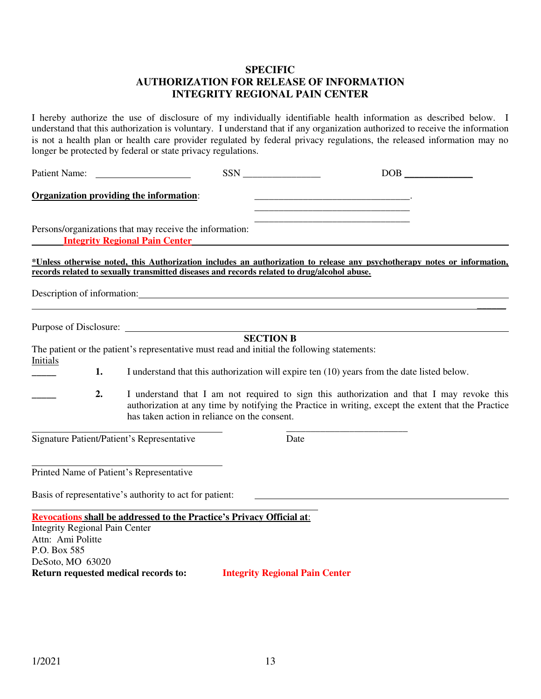#### **SPECIFIC AUTHORIZATION FOR RELEASE OF INFORMATION INTEGRITY REGIONAL PAIN CENTER**

I hereby authorize the use of disclosure of my individually identifiable health information as described below. I understand that this authorization is voluntary. I understand that if any organization authorized to receive the information is not a health plan or health care provider regulated by federal privacy regulations, the released information may no longer be protected by federal or state privacy regulations.

| Patient Name:                                                                                                                          |                                                                                                  | $SSN$                                 | DOB                                                                                                                                                                                              |
|----------------------------------------------------------------------------------------------------------------------------------------|--------------------------------------------------------------------------------------------------|---------------------------------------|--------------------------------------------------------------------------------------------------------------------------------------------------------------------------------------------------|
| <b>Organization providing the information:</b>                                                                                         |                                                                                                  |                                       |                                                                                                                                                                                                  |
|                                                                                                                                        | Persons/organizations that may receive the information:<br><b>Integrity Regional Pain Center</b> |                                       |                                                                                                                                                                                                  |
|                                                                                                                                        | records related to sexually transmitted diseases and records related to drug/alcohol abuse.      |                                       | *Unless otherwise noted, this Authorization includes an authorization to release any psychotherapy notes or information,                                                                         |
|                                                                                                                                        |                                                                                                  |                                       | Description of information: Description of information:                                                                                                                                          |
|                                                                                                                                        | Purpose of Disclosure: SECTION B                                                                 |                                       |                                                                                                                                                                                                  |
| Initials<br>1.                                                                                                                         | The patient or the patient's representative must read and initial the following statements:      |                                       | I understand that this authorization will expire ten (10) years from the date listed below.                                                                                                      |
| 2.                                                                                                                                     | has taken action in reliance on the consent.                                                     |                                       | I understand that I am not required to sign this authorization and that I may revoke this<br>authorization at any time by notifying the Practice in writing, except the extent that the Practice |
| Signature Patient/Patient's Representative                                                                                             |                                                                                                  | Date                                  |                                                                                                                                                                                                  |
| Printed Name of Patient's Representative                                                                                               |                                                                                                  |                                       |                                                                                                                                                                                                  |
|                                                                                                                                        | Basis of representative's authority to act for patient:                                          |                                       |                                                                                                                                                                                                  |
| <b>Integrity Regional Pain Center</b><br>Attn: Ami Politte<br>P.O. Box 585<br>DeSoto, MO 63020<br>Return requested medical records to: | Revocations shall be addressed to the Practice's Privacy Official at:                            | <b>Integrity Regional Pain Center</b> |                                                                                                                                                                                                  |
|                                                                                                                                        |                                                                                                  |                                       |                                                                                                                                                                                                  |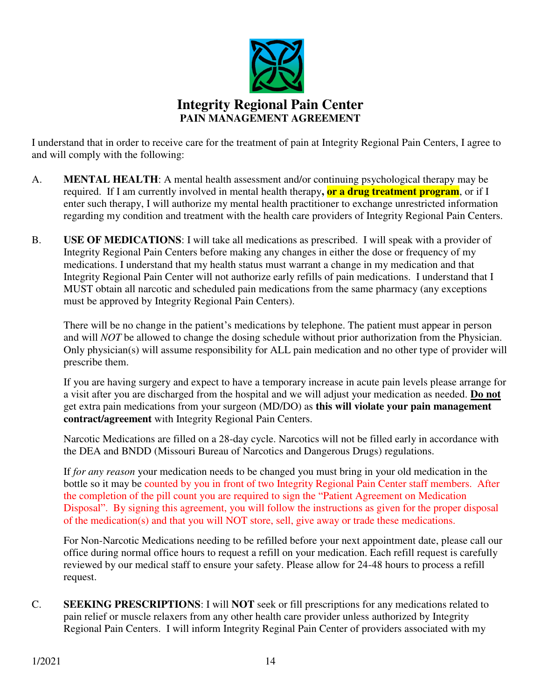

I understand that in order to receive care for the treatment of pain at Integrity Regional Pain Centers, I agree to and will comply with the following:

- A. **MENTAL HEALTH**: A mental health assessment and/or continuing psychological therapy may be required. If I am currently involved in mental health therapy**, or a drug treatment program**, or if I enter such therapy, I will authorize my mental health practitioner to exchange unrestricted information regarding my condition and treatment with the health care providers of Integrity Regional Pain Centers.
- B. **USE OF MEDICATIONS**: I will take all medications as prescribed. I will speak with a provider of Integrity Regional Pain Centers before making any changes in either the dose or frequency of my medications. I understand that my health status must warrant a change in my medication and that Integrity Regional Pain Center will not authorize early refills of pain medications. I understand that I MUST obtain all narcotic and scheduled pain medications from the same pharmacy (any exceptions must be approved by Integrity Regional Pain Centers).

There will be no change in the patient's medications by telephone. The patient must appear in person and will *NOT* be allowed to change the dosing schedule without prior authorization from the Physician. Only physician(s) will assume responsibility for ALL pain medication and no other type of provider will prescribe them.

If you are having surgery and expect to have a temporary increase in acute pain levels please arrange for a visit after you are discharged from the hospital and we will adjust your medication as needed. **Do not** get extra pain medications from your surgeon (MD/DO) as **this will violate your pain management contract/agreement** with Integrity Regional Pain Centers.

Narcotic Medications are filled on a 28-day cycle. Narcotics will not be filled early in accordance with the DEA and BNDD (Missouri Bureau of Narcotics and Dangerous Drugs) regulations.

If *for any reason* your medication needs to be changed you must bring in your old medication in the bottle so it may be counted by you in front of two Integrity Regional Pain Center staff members. After the completion of the pill count you are required to sign the "Patient Agreement on Medication Disposal". By signing this agreement, you will follow the instructions as given for the proper disposal of the medication(s) and that you will NOT store, sell, give away or trade these medications.

For Non-Narcotic Medications needing to be refilled before your next appointment date, please call our office during normal office hours to request a refill on your medication. Each refill request is carefully reviewed by our medical staff to ensure your safety. Please allow for 24-48 hours to process a refill request.

C. **SEEKING PRESCRIPTIONS**: I will **NOT** seek or fill prescriptions for any medications related to pain relief or muscle relaxers from any other health care provider unless authorized by Integrity Regional Pain Centers. I will inform Integrity Reginal Pain Center of providers associated with my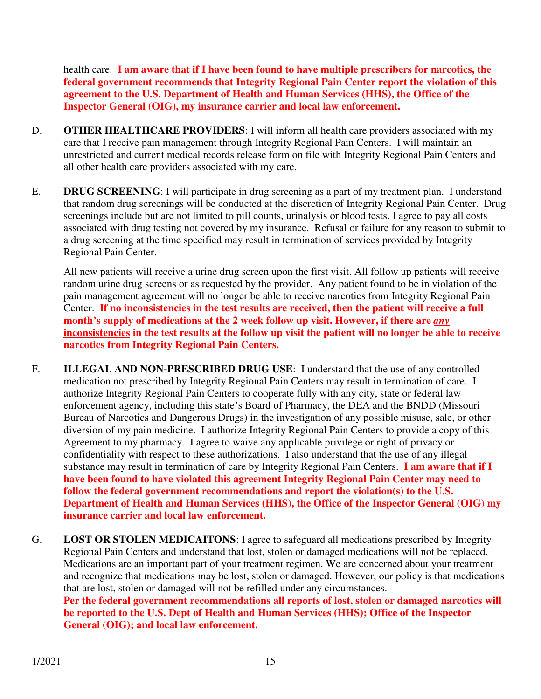health care. **I am aware that if I have been found to have multiple prescribers for narcotics, the federal government recommends that Integrity Regional Pain Center report the violation of this agreement to the U.S. Department of Health and Human Services (HHS), the Office of the Inspector General (OIG), my insurance carrier and local law enforcement.** 

- D. **OTHER HEALTHCARE PROVIDERS**: I will inform all health care providers associated with my care that I receive pain management through Integrity Regional Pain Centers. I will maintain an unrestricted and current medical records release form on file with Integrity Regional Pain Centers and all other health care providers associated with my care.
- E. **DRUG SCREENING**: I will participate in drug screening as a part of my treatment plan. I understand that random drug screenings will be conducted at the discretion of Integrity Regional Pain Center. Drug screenings include but are not limited to pill counts, urinalysis or blood tests. I agree to pay all costs associated with drug testing not covered by my insurance. Refusal or failure for any reason to submit to a drug screening at the time specified may result in termination of services provided by Integrity Regional Pain Center.

All new patients will receive a urine drug screen upon the first visit. All follow up patients will receive random urine drug screens or as requested by the provider. Any patient found to be in violation of the pain management agreement will no longer be able to receive narcotics from Integrity Regional Pain Center. **If no inconsistencies in the test results are received, then the patient will receive a full month's supply of medications at the 2 week follow up visit. However, if there are** *any* **inconsistencies in the test results at the follow up visit the patient will no longer be able to receive narcotics from Integrity Regional Pain Centers.** 

- F. **ILLEGAL AND NON-PRESCRIBED DRUG USE**: I understand that the use of any controlled medication not prescribed by Integrity Regional Pain Centers may result in termination of care. I authorize Integrity Regional Pain Centers to cooperate fully with any city, state or federal law enforcement agency, including this state's Board of Pharmacy, the DEA and the BNDD (Missouri Bureau of Narcotics and Dangerous Drugs) in the investigation of any possible misuse, sale, or other diversion of my pain medicine. I authorize Integrity Regional Pain Centers to provide a copy of this Agreement to my pharmacy. I agree to waive any applicable privilege or right of privacy or confidentiality with respect to these authorizations. I also understand that the use of any illegal substance may result in termination of care by Integrity Regional Pain Centers. **I am aware that if I have been found to have violated this agreement Integrity Regional Pain Center may need to follow the federal government recommendations and report the violation(s) to the U.S. Department of Health and Human Services (HHS), the Office of the Inspector General (OIG) my insurance carrier and local law enforcement.**
- G. **LOST OR STOLEN MEDICAITONS**: I agree to safeguard all medications prescribed by Integrity Regional Pain Centers and understand that lost, stolen or damaged medications will not be replaced. Medications are an important part of your treatment regimen. We are concerned about your treatment and recognize that medications may be lost, stolen or damaged. However, our policy is that medications that are lost, stolen or damaged will not be refilled under any circumstances. **Per the federal government recommendations all reports of lost, stolen or damaged narcotics will be reported to the U.S. Dept of Health and Human Services (HHS); Office of the Inspector General (OIG); and local law enforcement.**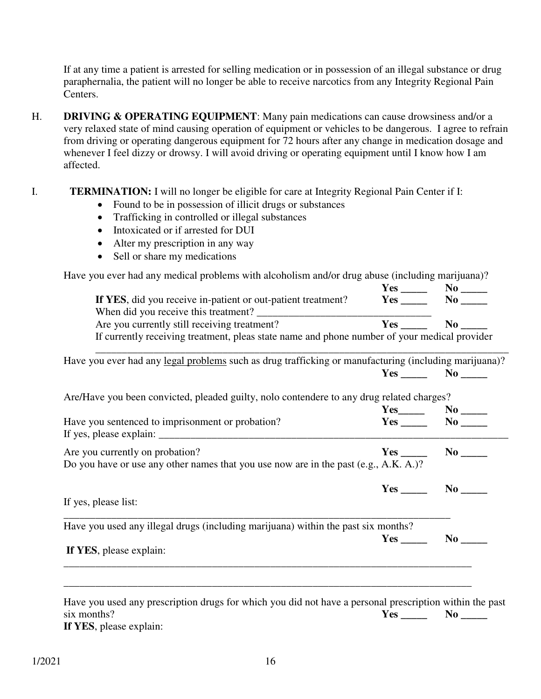If at any time a patient is arrested for selling medication or in possession of an illegal substance or drug paraphernalia, the patient will no longer be able to receive narcotics from any Integrity Regional Pain Centers.

- H. **DRIVING & OPERATING EQUIPMENT**: Many pain medications can cause drowsiness and/or a very relaxed state of mind causing operation of equipment or vehicles to be dangerous. I agree to refrain from driving or operating dangerous equipment for 72 hours after any change in medication dosage and whenever I feel dizzy or drowsy. I will avoid driving or operating equipment until I know how I am affected.
- I. **TERMINATION:** I will no longer be eligible for care at Integrity Regional Pain Center if I:
	- Found to be in possession of illicit drugs or substances
	- Trafficking in controlled or illegal substances
	- Intoxicated or if arrested for DUI
	- Alter my prescription in any way
	- Sell or share my medications

Have you ever had any medical problems with alcoholism and/or drug abuse (including marijuana)?

|                                                                                              | Yes        |  |
|----------------------------------------------------------------------------------------------|------------|--|
| If YES, did you receive in-patient or out-patient treatment?                                 | <b>Yes</b> |  |
| When did you receive this treatment?                                                         |            |  |
| Are you currently still receiving treatment?                                                 | Yes.       |  |
| If currently receiving treatment, pleas state name and phone number of your medical provider |            |  |

| Have you ever had any legal problems such as drug trafficking or manufacturing (including marijuana)? |  |
|-------------------------------------------------------------------------------------------------------|--|
| Are/Have you been convicted, pleaded guilty, nolo contendere to any drug related charges?             |  |

| Have you sentenced to imprisonment or probation?                                                                        | $Yes$ No |           |
|-------------------------------------------------------------------------------------------------------------------------|----------|-----------|
| Are you currently on probation?<br>Do you have or use any other names that you use now are in the past (e.g., A.K. A.)? |          |           |
|                                                                                                                         |          | $\bf{No}$ |
| If yes, please list:<br>Have you used any illegal drugs (including marijuana) within the past six months?               |          |           |
|                                                                                                                         | Yes      | $\bf No$  |
| If YES, please explain:                                                                                                 |          |           |
|                                                                                                                         |          |           |

Have you used any prescription drugs for which you did not have a personal prescription within the past  $\frac{1}{2}$  six months?  $\frac{1}{2}$   $\frac{1}{2}$   $\frac{1}{2}$   $\frac{1}{2}$   $\frac{1}{2}$   $\frac{1}{2}$   $\frac{1}{2}$   $\frac{1}{2}$   $\frac{1}{2}$   $\frac{1}{2}$   $\frac{1}{2}$   $\frac{1}{2}$   $\frac{1}{2}$   $\frac{1}{2}$   $\frac{1}{2}$   $\frac{1}{2}$   $\frac{1}{2}$   $\frac{1}{2}$   $\frac{1}{2}$   $\frac{1}{2}$ **If YES**, please explain: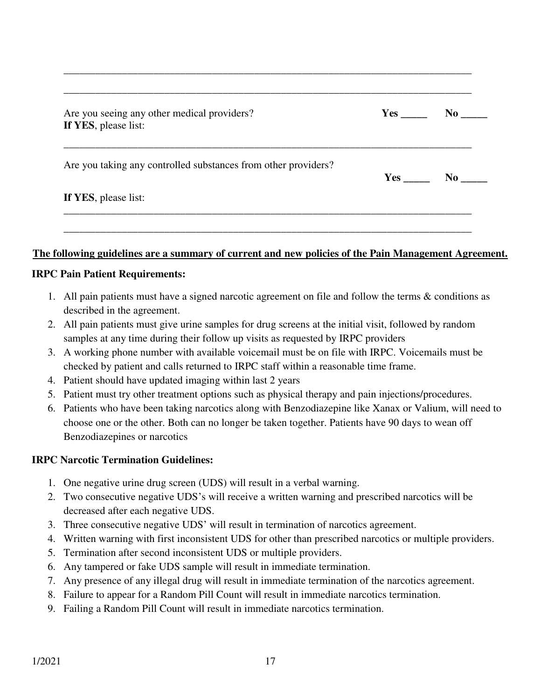| Are you seeing any other medical providers?<br>If YES, please list: | Yes                       | $\bf No$              |
|---------------------------------------------------------------------|---------------------------|-----------------------|
| Are you taking any controlled substances from other providers?      | $Yes$ <sub>________</sub> | $\mathbf{No}_{\perp}$ |
| If YES, please list:                                                |                           |                       |

\_\_\_\_\_\_\_\_\_\_\_\_\_\_\_\_\_\_\_\_\_\_\_\_\_\_\_\_\_\_\_\_\_\_\_\_\_\_\_\_\_\_\_\_\_\_\_\_\_\_\_\_\_\_\_\_\_\_\_\_\_\_\_\_\_\_\_\_\_\_\_\_\_\_\_\_\_

#### **The following guidelines are a summary of current and new policies of the Pain Management Agreement.**

#### **IRPC Pain Patient Requirements:**

- 1. All pain patients must have a signed narcotic agreement on file and follow the terms & conditions as described in the agreement.
- 2. All pain patients must give urine samples for drug screens at the initial visit, followed by random samples at any time during their follow up visits as requested by IRPC providers
- 3. A working phone number with available voicemail must be on file with IRPC. Voicemails must be checked by patient and calls returned to IRPC staff within a reasonable time frame.
- 4. Patient should have updated imaging within last 2 years
- 5. Patient must try other treatment options such as physical therapy and pain injections/procedures.
- 6. Patients who have been taking narcotics along with Benzodiazepine like Xanax or Valium, will need to choose one or the other. Both can no longer be taken together. Patients have 90 days to wean off Benzodiazepines or narcotics

#### **IRPC Narcotic Termination Guidelines:**

- 1. One negative urine drug screen (UDS) will result in a verbal warning.
- 2. Two consecutive negative UDS's will receive a written warning and prescribed narcotics will be decreased after each negative UDS.
- 3. Three consecutive negative UDS' will result in termination of narcotics agreement.
- 4. Written warning with first inconsistent UDS for other than prescribed narcotics or multiple providers.
- 5. Termination after second inconsistent UDS or multiple providers.
- 6. Any tampered or fake UDS sample will result in immediate termination.
- 7. Any presence of any illegal drug will result in immediate termination of the narcotics agreement.
- 8. Failure to appear for a Random Pill Count will result in immediate narcotics termination.
- 9. Failing a Random Pill Count will result in immediate narcotics termination.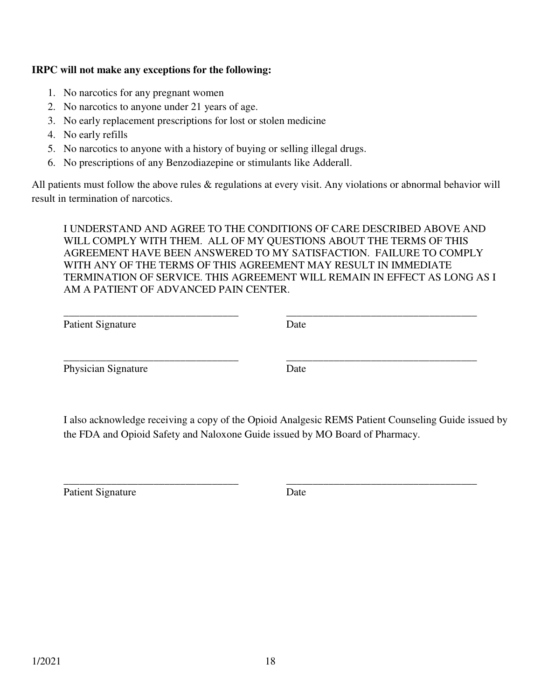#### 3. No early replacement prescriptions for lost or stolen medicine 4. No early refills

**IRPC will not make any exceptions for the following:** 

2. No narcotics to anyone under 21 years of age.

1. No narcotics for any pregnant women

- 5. No narcotics to anyone with a history of buying or selling illegal drugs.
- 6. No prescriptions of any Benzodiazepine or stimulants like Adderall.

All patients must follow the above rules & regulations at every visit. Any violations or abnormal behavior will result in termination of narcotics.

I UNDERSTAND AND AGREE TO THE CONDITIONS OF CARE DESCRIBED ABOVE AND WILL COMPLY WITH THEM. ALL OF MY QUESTIONS ABOUT THE TERMS OF THIS AGREEMENT HAVE BEEN ANSWERED TO MY SATISFACTION. FAILURE TO COMPLY WITH ANY OF THE TERMS OF THIS AGREEMENT MAY RESULT IN IMMEDIATE TERMINATION OF SERVICE. THIS AGREEMENT WILL REMAIN IN EFFECT AS LONG AS I AM A PATIENT OF ADVANCED PAIN CENTER.

\_\_\_\_\_\_\_\_\_\_\_\_\_\_\_\_\_\_\_\_\_\_\_\_\_\_\_\_\_\_\_\_\_ \_\_\_\_\_\_\_\_\_\_\_\_\_\_\_\_\_\_\_\_\_\_\_\_\_\_\_\_\_\_\_\_\_\_\_\_

\_\_\_\_\_\_\_\_\_\_\_\_\_\_\_\_\_\_\_\_\_\_\_\_\_\_\_\_\_\_\_\_\_ \_\_\_\_\_\_\_\_\_\_\_\_\_\_\_\_\_\_\_\_\_\_\_\_\_\_\_\_\_\_\_\_\_\_\_\_

\_\_\_\_\_\_\_\_\_\_\_\_\_\_\_\_\_\_\_\_\_\_\_\_\_\_\_\_\_\_\_\_\_ \_\_\_\_\_\_\_\_\_\_\_\_\_\_\_\_\_\_\_\_\_\_\_\_\_\_\_\_\_\_\_\_\_\_\_\_

Patient Signature Date

Physician Signature Date

 I also acknowledge receiving a copy of the Opioid Analgesic REMS Patient Counseling Guide issued by the FDA and Opioid Safety and Naloxone Guide issued by MO Board of Pharmacy.

Patient Signature Date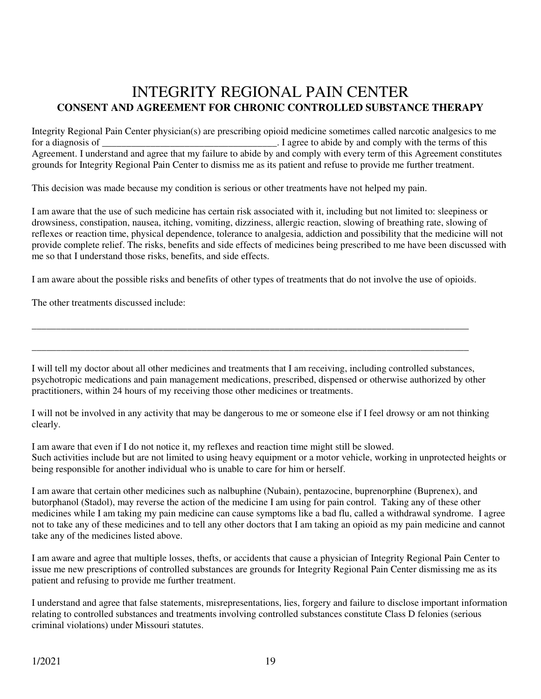## INTEGRITY REGIONAL PAIN CENTER **CONSENT AND AGREEMENT FOR CHRONIC CONTROLLED SUBSTANCE THERAPY**

Integrity Regional Pain Center physician(s) are prescribing opioid medicine sometimes called narcotic analgesics to me for a diagnosis of  $\qquad \qquad$  . I agree to abide by and comply with the terms of this Agreement. I understand and agree that my failure to abide by and comply with every term of this Agreement constitutes grounds for Integrity Regional Pain Center to dismiss me as its patient and refuse to provide me further treatment.

This decision was made because my condition is serious or other treatments have not helped my pain.

I am aware that the use of such medicine has certain risk associated with it, including but not limited to: sleepiness or drowsiness, constipation, nausea, itching, vomiting, dizziness, allergic reaction, slowing of breathing rate, slowing of reflexes or reaction time, physical dependence, tolerance to analgesia, addiction and possibility that the medicine will not provide complete relief. The risks, benefits and side effects of medicines being prescribed to me have been discussed with me so that I understand those risks, benefits, and side effects.

I am aware about the possible risks and benefits of other types of treatments that do not involve the use of opioids.

\_\_\_\_\_\_\_\_\_\_\_\_\_\_\_\_\_\_\_\_\_\_\_\_\_\_\_\_\_\_\_\_\_\_\_\_\_\_\_\_\_\_\_\_\_\_\_\_\_\_\_\_\_\_\_\_\_\_\_\_\_\_\_\_\_\_\_\_\_\_\_\_\_\_\_\_\_\_\_\_\_\_\_\_\_\_\_\_\_\_

\_\_\_\_\_\_\_\_\_\_\_\_\_\_\_\_\_\_\_\_\_\_\_\_\_\_\_\_\_\_\_\_\_\_\_\_\_\_\_\_\_\_\_\_\_\_\_\_\_\_\_\_\_\_\_\_\_\_\_\_\_\_\_\_\_\_\_\_\_\_\_\_\_\_\_\_\_\_\_\_\_\_\_\_\_\_\_\_\_\_

The other treatments discussed include:

I will tell my doctor about all other medicines and treatments that I am receiving, including controlled substances, psychotropic medications and pain management medications, prescribed, dispensed or otherwise authorized by other practitioners, within 24 hours of my receiving those other medicines or treatments.

I will not be involved in any activity that may be dangerous to me or someone else if I feel drowsy or am not thinking clearly.

I am aware that even if I do not notice it, my reflexes and reaction time might still be slowed. Such activities include but are not limited to using heavy equipment or a motor vehicle, working in unprotected heights or being responsible for another individual who is unable to care for him or herself.

I am aware that certain other medicines such as nalbuphine (Nubain), pentazocine, buprenorphine (Buprenex), and butorphanol (Stadol), may reverse the action of the medicine I am using for pain control. Taking any of these other medicines while I am taking my pain medicine can cause symptoms like a bad flu, called a withdrawal syndrome. I agree not to take any of these medicines and to tell any other doctors that I am taking an opioid as my pain medicine and cannot take any of the medicines listed above.

I am aware and agree that multiple losses, thefts, or accidents that cause a physician of Integrity Regional Pain Center to issue me new prescriptions of controlled substances are grounds for Integrity Regional Pain Center dismissing me as its patient and refusing to provide me further treatment.

I understand and agree that false statements, misrepresentations, lies, forgery and failure to disclose important information relating to controlled substances and treatments involving controlled substances constitute Class D felonies (serious criminal violations) under Missouri statutes.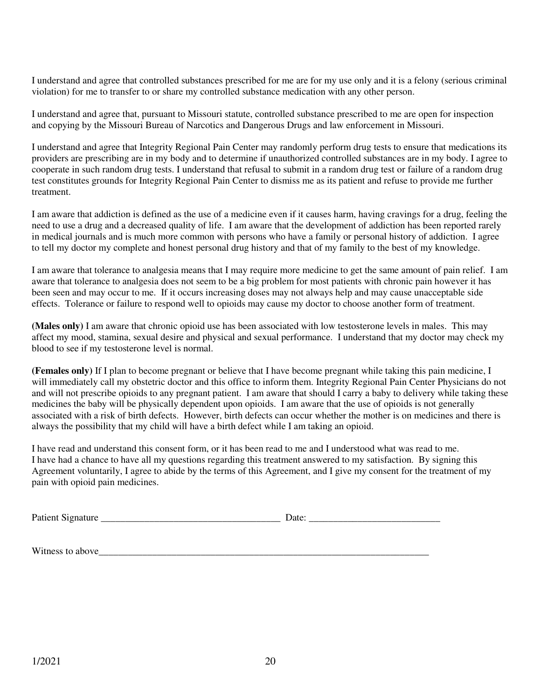I understand and agree that controlled substances prescribed for me are for my use only and it is a felony (serious criminal violation) for me to transfer to or share my controlled substance medication with any other person.

I understand and agree that, pursuant to Missouri statute, controlled substance prescribed to me are open for inspection and copying by the Missouri Bureau of Narcotics and Dangerous Drugs and law enforcement in Missouri.

I understand and agree that Integrity Regional Pain Center may randomly perform drug tests to ensure that medications its providers are prescribing are in my body and to determine if unauthorized controlled substances are in my body. I agree to cooperate in such random drug tests. I understand that refusal to submit in a random drug test or failure of a random drug test constitutes grounds for Integrity Regional Pain Center to dismiss me as its patient and refuse to provide me further treatment.

I am aware that addiction is defined as the use of a medicine even if it causes harm, having cravings for a drug, feeling the need to use a drug and a decreased quality of life. I am aware that the development of addiction has been reported rarely in medical journals and is much more common with persons who have a family or personal history of addiction. I agree to tell my doctor my complete and honest personal drug history and that of my family to the best of my knowledge.

I am aware that tolerance to analgesia means that I may require more medicine to get the same amount of pain relief. I am aware that tolerance to analgesia does not seem to be a big problem for most patients with chronic pain however it has been seen and may occur to me. If it occurs increasing doses may not always help and may cause unacceptable side effects. Tolerance or failure to respond well to opioids may cause my doctor to choose another form of treatment.

**(Males only)** I am aware that chronic opioid use has been associated with low testosterone levels in males. This may affect my mood, stamina, sexual desire and physical and sexual performance. I understand that my doctor may check my blood to see if my testosterone level is normal.

**(Females only)** If I plan to become pregnant or believe that I have become pregnant while taking this pain medicine, I will immediately call my obstetric doctor and this office to inform them. Integrity Regional Pain Center Physicians do not and will not prescribe opioids to any pregnant patient. I am aware that should I carry a baby to delivery while taking these medicines the baby will be physically dependent upon opioids. I am aware that the use of opioids is not generally associated with a risk of birth defects. However, birth defects can occur whether the mother is on medicines and there is always the possibility that my child will have a birth defect while I am taking an opioid.

I have read and understand this consent form, or it has been read to me and I understood what was read to me. I have had a chance to have all my questions regarding this treatment answered to my satisfaction. By signing this Agreement voluntarily, I agree to abide by the terms of this Agreement, and I give my consent for the treatment of my pain with opioid pain medicines.

Patient Signature \_\_\_\_\_\_\_\_\_\_\_\_\_\_\_\_\_\_\_\_\_\_\_\_\_\_\_\_\_\_\_\_\_\_\_\_\_ Date: \_\_\_\_\_\_\_\_\_\_\_\_\_\_\_\_\_\_\_\_\_\_\_\_\_\_\_

Witness to above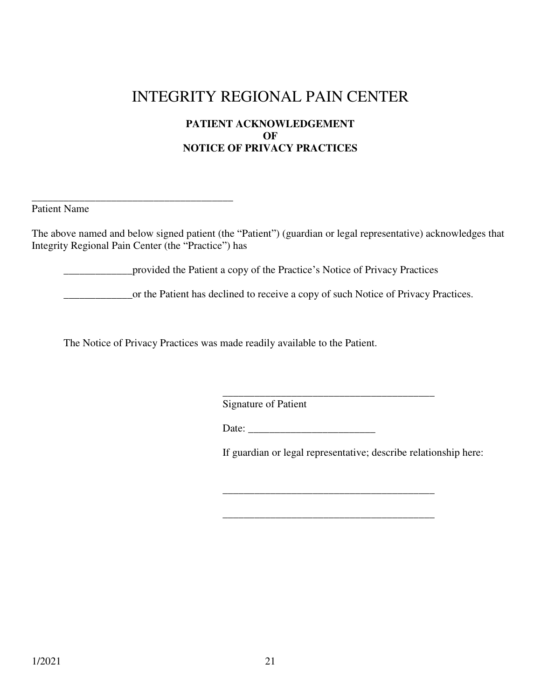# INTEGRITY REGIONAL PAIN CENTER

#### **PATIENT ACKNOWLEDGEMENT OF NOTICE OF PRIVACY PRACTICES**

Patient Name

\_\_\_\_\_\_\_\_\_\_\_\_\_\_\_\_\_\_\_\_\_\_\_\_\_\_\_\_\_\_\_\_\_\_\_\_\_\_

The above named and below signed patient (the "Patient") (guardian or legal representative) acknowledges that Integrity Regional Pain Center (the "Practice") has

\_\_\_\_\_\_\_\_\_\_\_\_\_provided the Patient a copy of the Practice's Notice of Privacy Practices

\_\_\_\_\_\_\_\_\_\_\_\_\_or the Patient has declined to receive a copy of such Notice of Privacy Practices.

The Notice of Privacy Practices was made readily available to the Patient.

 $\overline{\phantom{a}}$  , and the contract of the contract of the contract of the contract of the contract of the contract of the contract of the contract of the contract of the contract of the contract of the contract of the contrac

 $\overline{\phantom{a}}$  , and the contract of the contract of the contract of the contract of the contract of the contract of the contract of the contract of the contract of the contract of the contract of the contract of the contrac

 $\overline{\phantom{a}}$  , which is a set of the set of the set of the set of the set of the set of the set of the set of the set of the set of the set of the set of the set of the set of the set of the set of the set of the set of th Signature of Patient

Date:

If guardian or legal representative; describe relationship here: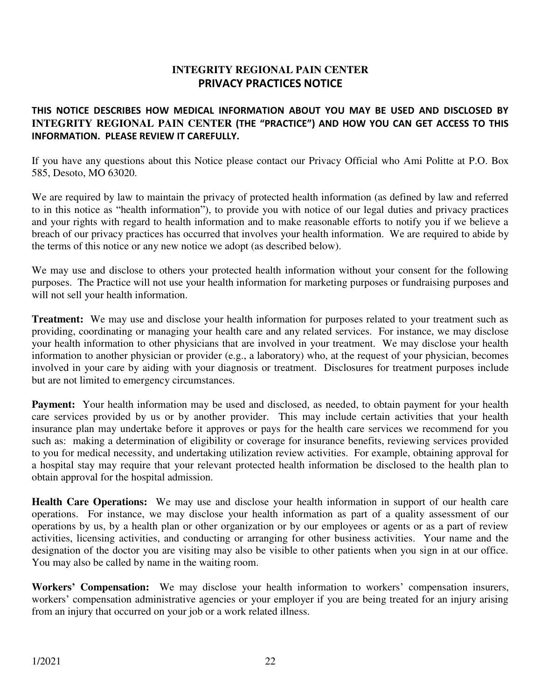#### **INTEGRITY REGIONAL PAIN CENTER PRIVACY PRACTICES NOTICE**

### **THIS NOTICE DESCRIBES HOW MEDICAL INFORMATION ABOUT YOU MAY BE USED AND DISCLOSED BY INTEGRITY REGIONAL PAIN CENTER (THE "PRACTICE") AND HOW YOU CAN GET ACCESS TO THIS INFORMATION. PLEASE REVIEW IT CAREFULLY.**

If you have any questions about this Notice please contact our Privacy Official who Ami Politte at P.O. Box 585, Desoto, MO 63020.

We are required by law to maintain the privacy of protected health information (as defined by law and referred to in this notice as "health information"), to provide you with notice of our legal duties and privacy practices and your rights with regard to health information and to make reasonable efforts to notify you if we believe a breach of our privacy practices has occurred that involves your health information. We are required to abide by the terms of this notice or any new notice we adopt (as described below).

We may use and disclose to others your protected health information without your consent for the following purposes. The Practice will not use your health information for marketing purposes or fundraising purposes and will not sell your health information.

**Treatment:** We may use and disclose your health information for purposes related to your treatment such as providing, coordinating or managing your health care and any related services. For instance, we may disclose your health information to other physicians that are involved in your treatment. We may disclose your health information to another physician or provider (e.g., a laboratory) who, at the request of your physician, becomes involved in your care by aiding with your diagnosis or treatment. Disclosures for treatment purposes include but are not limited to emergency circumstances.

**Payment:** Your health information may be used and disclosed, as needed, to obtain payment for your health care services provided by us or by another provider. This may include certain activities that your health insurance plan may undertake before it approves or pays for the health care services we recommend for you such as: making a determination of eligibility or coverage for insurance benefits, reviewing services provided to you for medical necessity, and undertaking utilization review activities. For example, obtaining approval for a hospital stay may require that your relevant protected health information be disclosed to the health plan to obtain approval for the hospital admission.

**Health Care Operations:** We may use and disclose your health information in support of our health care operations. For instance, we may disclose your health information as part of a quality assessment of our operations by us, by a health plan or other organization or by our employees or agents or as a part of review activities, licensing activities, and conducting or arranging for other business activities. Your name and the designation of the doctor you are visiting may also be visible to other patients when you sign in at our office. You may also be called by name in the waiting room.

**Workers' Compensation:** We may disclose your health information to workers' compensation insurers, workers' compensation administrative agencies or your employer if you are being treated for an injury arising from an injury that occurred on your job or a work related illness.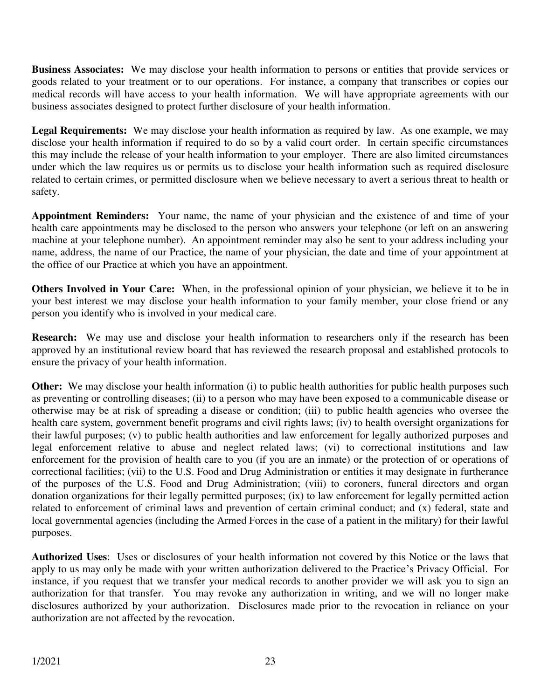**Business Associates:** We may disclose your health information to persons or entities that provide services or goods related to your treatment or to our operations. For instance, a company that transcribes or copies our medical records will have access to your health information. We will have appropriate agreements with our business associates designed to protect further disclosure of your health information.

**Legal Requirements:** We may disclose your health information as required by law. As one example, we may disclose your health information if required to do so by a valid court order. In certain specific circumstances this may include the release of your health information to your employer. There are also limited circumstances under which the law requires us or permits us to disclose your health information such as required disclosure related to certain crimes, or permitted disclosure when we believe necessary to avert a serious threat to health or safety.

**Appointment Reminders:** Your name, the name of your physician and the existence of and time of your health care appointments may be disclosed to the person who answers your telephone (or left on an answering machine at your telephone number). An appointment reminder may also be sent to your address including your name, address, the name of our Practice, the name of your physician, the date and time of your appointment at the office of our Practice at which you have an appointment.

**Others Involved in Your Care:** When, in the professional opinion of your physician, we believe it to be in your best interest we may disclose your health information to your family member, your close friend or any person you identify who is involved in your medical care.

**Research:** We may use and disclose your health information to researchers only if the research has been approved by an institutional review board that has reviewed the research proposal and established protocols to ensure the privacy of your health information.

**Other:** We may disclose your health information (i) to public health authorities for public health purposes such as preventing or controlling diseases; (ii) to a person who may have been exposed to a communicable disease or otherwise may be at risk of spreading a disease or condition; (iii) to public health agencies who oversee the health care system, government benefit programs and civil rights laws; (iv) to health oversight organizations for their lawful purposes; (v) to public health authorities and law enforcement for legally authorized purposes and legal enforcement relative to abuse and neglect related laws; (vi) to correctional institutions and law enforcement for the provision of health care to you (if you are an inmate) or the protection of or operations of correctional facilities; (vii) to the U.S. Food and Drug Administration or entities it may designate in furtherance of the purposes of the U.S. Food and Drug Administration; (viii) to coroners, funeral directors and organ donation organizations for their legally permitted purposes; (ix) to law enforcement for legally permitted action related to enforcement of criminal laws and prevention of certain criminal conduct; and (x) federal, state and local governmental agencies (including the Armed Forces in the case of a patient in the military) for their lawful purposes.

**Authorized Uses**: Uses or disclosures of your health information not covered by this Notice or the laws that apply to us may only be made with your written authorization delivered to the Practice's Privacy Official. For instance, if you request that we transfer your medical records to another provider we will ask you to sign an authorization for that transfer. You may revoke any authorization in writing, and we will no longer make disclosures authorized by your authorization. Disclosures made prior to the revocation in reliance on your authorization are not affected by the revocation.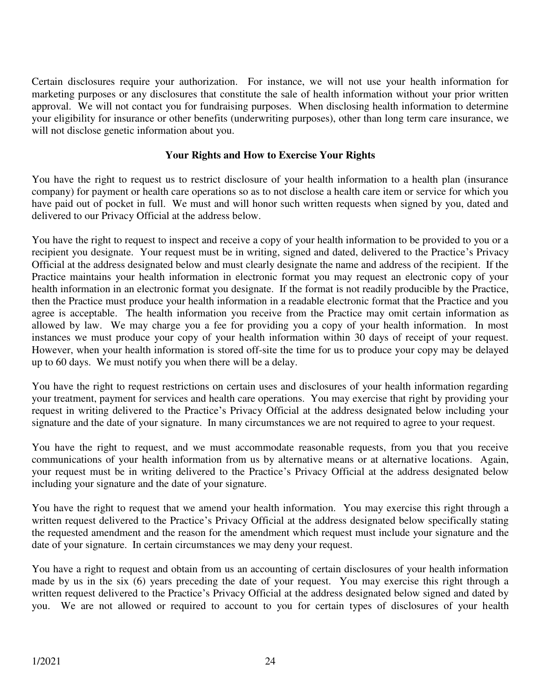Certain disclosures require your authorization. For instance, we will not use your health information for marketing purposes or any disclosures that constitute the sale of health information without your prior written approval. We will not contact you for fundraising purposes. When disclosing health information to determine your eligibility for insurance or other benefits (underwriting purposes), other than long term care insurance, we will not disclose genetic information about you.

#### **Your Rights and How to Exercise Your Rights**

You have the right to request us to restrict disclosure of your health information to a health plan (insurance company) for payment or health care operations so as to not disclose a health care item or service for which you have paid out of pocket in full. We must and will honor such written requests when signed by you, dated and delivered to our Privacy Official at the address below.

You have the right to request to inspect and receive a copy of your health information to be provided to you or a recipient you designate. Your request must be in writing, signed and dated, delivered to the Practice's Privacy Official at the address designated below and must clearly designate the name and address of the recipient. If the Practice maintains your health information in electronic format you may request an electronic copy of your health information in an electronic format you designate. If the format is not readily producible by the Practice, then the Practice must produce your health information in a readable electronic format that the Practice and you agree is acceptable. The health information you receive from the Practice may omit certain information as allowed by law. We may charge you a fee for providing you a copy of your health information. In most instances we must produce your copy of your health information within 30 days of receipt of your request. However, when your health information is stored off-site the time for us to produce your copy may be delayed up to 60 days. We must notify you when there will be a delay.

You have the right to request restrictions on certain uses and disclosures of your health information regarding your treatment, payment for services and health care operations. You may exercise that right by providing your request in writing delivered to the Practice's Privacy Official at the address designated below including your signature and the date of your signature. In many circumstances we are not required to agree to your request.

You have the right to request, and we must accommodate reasonable requests, from you that you receive communications of your health information from us by alternative means or at alternative locations. Again, your request must be in writing delivered to the Practice's Privacy Official at the address designated below including your signature and the date of your signature.

You have the right to request that we amend your health information. You may exercise this right through a written request delivered to the Practice's Privacy Official at the address designated below specifically stating the requested amendment and the reason for the amendment which request must include your signature and the date of your signature. In certain circumstances we may deny your request.

You have a right to request and obtain from us an accounting of certain disclosures of your health information made by us in the six (6) years preceding the date of your request. You may exercise this right through a written request delivered to the Practice's Privacy Official at the address designated below signed and dated by you. We are not allowed or required to account to you for certain types of disclosures of your health